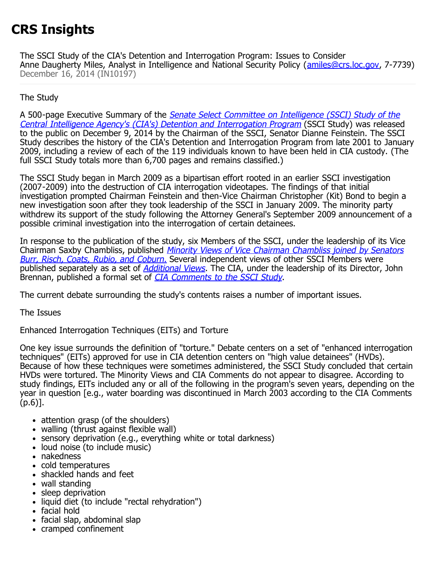# **CRS Insights**

The SSCI Study of the CIA's Detention and Interrogation Program: Issues to Consider Anne Daugherty Miles, Analyst in Intelligence and National Security Policy ([amiles@crs.loc.gov,](mailto:amiles@crs.loc.gov) 7-7739) December 16, 2014 (IN10197)

# The Study

A 500-page Executive Summary of the [Senate Select Committee on Intelligence \(SSCI\) Study of the](http://www.intelligence.senate.gov/study2014/sscistudy1.pdf) [Central Intelligence Agency's \(CIA's\) Detention and Interrogation Program](http://www.intelligence.senate.gov/study2014/sscistudy1.pdf) (SSCI Study) was released to the public on December 9, 2014 by the Chairman of the SSCI, Senator Dianne Feinstein. The SSCI Study describes the history of the CIA's Detention and Interrogation Program from late 2001 to January 2009, including a review of each of the 119 individuals known to have been held in CIA custody. (The full SSCI Study totals more than 6,700 pages and remains classified.)

The SSCI Study began in March 2009 as a bipartisan effort rooted in an earlier SSCI investigation (2007-2009) into the destruction of CIA interrogation videotapes. The findings of that initial investigation prompted Chairman Feinstein and then-Vice Chairman Christopher (Kit) Bond to begin a new investigation soon after they took leadership of the SSCI in January 2009. The minority party withdrew its support of the study following the Attorney General's September 2009 announcement of a possible criminal investigation into the interrogation of certain detainees.

In response to the publication of the study, six Members of the SSCI, under the leadership of its Vice Chairman Saxby Chambliss, published [Minority Views of Vice Chairman Chambliss joined by Senators](http://www.intelligence.senate.gov/study2014/sscistudy3.pdf) [Burr, Risch, Coats, Rubio, and Coburn](http://www.intelligence.senate.gov/study2014/sscistudy3.pdf)[.](http://www.intelligence.senate.gov/study2014/sscistudy3.pdf) Several independent views of other SSCI Members were published separately as a set of *[Additional Views](http://www.intelligence.senate.gov/study2014/sscistudy2.pdf)*. The CIA, under the leadership of its Director, John Brennan, published a formal set of **[CIA Comments to the SSCI Study](https://drive.google.com/file/d/0B_PclSuEzVCVUGg4QUYzSmFoeXM/view?pli=1)**.

The current debate surrounding the study's contents raises a number of important issues.

The Issues

Enhanced Interrogation Techniques (EITs) and Torture

One key issue surrounds the definition of "torture." Debate centers on a set of "enhanced interrogation techniques" (EITs) approved for use in CIA detention centers on "high value detainees" (HVDs). Because of how these techniques were sometimes administered, the SSCI Study concluded that certain HVDs were tortured. The Minority Views and CIA Comments do not appear to disagree. According to study findings, EITs included any or all of the following in the program's seven years, depending on the year in question [e.g., water boarding was discontinued in March 2003 according to the CIA Comments (p.6)].

- attention grasp (of the shoulders)
- walling (thrust against flexible wall)
- sensory deprivation (e.g., everything white or total darkness)
- loud noise (to include music)
- nakedness
- cold temperatures
- shackled hands and feet
- wall standing
- sleep deprivation
- liquid diet (to include "rectal rehydration")
- facial hold
- facial slap, abdominal slap
- cramped confinement